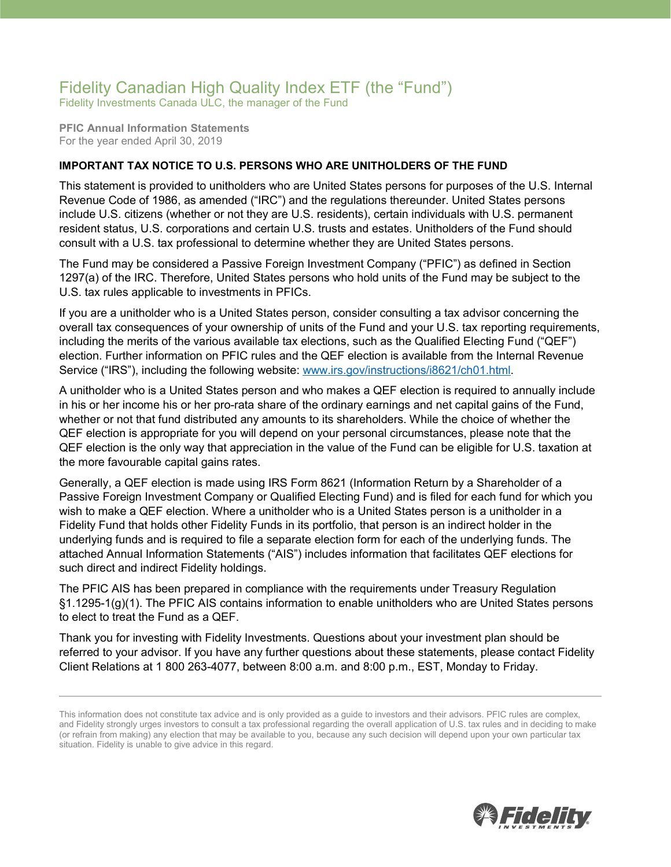## Fidelity Canadian High Quality Index ETF (the "Fund")

Fidelity Investments Canada ULC, the manager of the Fund

**PFIC Annual Information Statements** For the year ended April 30, 2019

## **IMPORTANT TAX NOTICE TO U.S. PERSONS WHO ARE UNITHOLDERS OF THE FUND**

This statement is provided to unitholders who are United States persons for purposes of the U.S. Internal Revenue Code of 1986, as amended ("IRC") and the regulations thereunder. United States persons include U.S. citizens (whether or not they are U.S. residents), certain individuals with U.S. permanent resident status, U.S. corporations and certain U.S. trusts and estates. Unitholders of the Fund should consult with a U.S. tax professional to determine whether they are United States persons.

The Fund may be considered a Passive Foreign Investment Company ("PFIC") as defined in Section 1297(a) of the IRC. Therefore, United States persons who hold units of the Fund may be subject to the U.S. tax rules applicable to investments in PFICs.

If you are a unitholder who is a United States person, consider consulting a tax advisor concerning the overall tax consequences of your ownership of units of the Fund and your U.S. tax reporting requirements, including the merits of the various available tax elections, such as the Qualified Electing Fund ("QEF") election. Further information on PFIC rules and the QEF election is available from the Internal Revenue Service ("IRS"), including the following website: [www.irs.gov/instructions/i8621/ch01.html.](http://www.irs.gov/instructions/i8621/ch01.html)

A unitholder who is a United States person and who makes a QEF election is required to annually include in his or her income his or her pro-rata share of the ordinary earnings and net capital gains of the Fund, whether or not that fund distributed any amounts to its shareholders. While the choice of whether the QEF election is appropriate for you will depend on your personal circumstances, please note that the QEF election is the only way that appreciation in the value of the Fund can be eligible for U.S. taxation at the more favourable capital gains rates.

Generally, a QEF election is made using IRS Form 8621 (Information Return by a Shareholder of a Passive Foreign Investment Company or Qualified Electing Fund) and is filed for each fund for which you wish to make a QEF election. Where a unitholder who is a United States person is a unitholder in a Fidelity Fund that holds other Fidelity Funds in its portfolio, that person is an indirect holder in the underlying funds and is required to file a separate election form for each of the underlying funds. The attached Annual Information Statements ("AIS") includes information that facilitates QEF elections for such direct and indirect Fidelity holdings.

The PFIC AIS has been prepared in compliance with the requirements under Treasury Regulation §1.1295-1(g)(1). The PFIC AIS contains information to enable unitholders who are United States persons to elect to treat the Fund as a QEF.

Thank you for investing with Fidelity Investments. Questions about your investment plan should be referred to your advisor. If you have any further questions about these statements, please contact Fidelity Client Relations at 1 800 263-4077, between 8:00 a.m. and 8:00 p.m., EST, Monday to Friday.



This information does not constitute tax advice and is only provided as a guide to investors and their advisors. PFIC rules are complex, and Fidelity strongly urges investors to consult a tax professional regarding the overall application of U.S. tax rules and in deciding to make (or refrain from making) any election that may be available to you, because any such decision will depend upon your own particular tax situation. Fidelity is unable to give advice in this regard.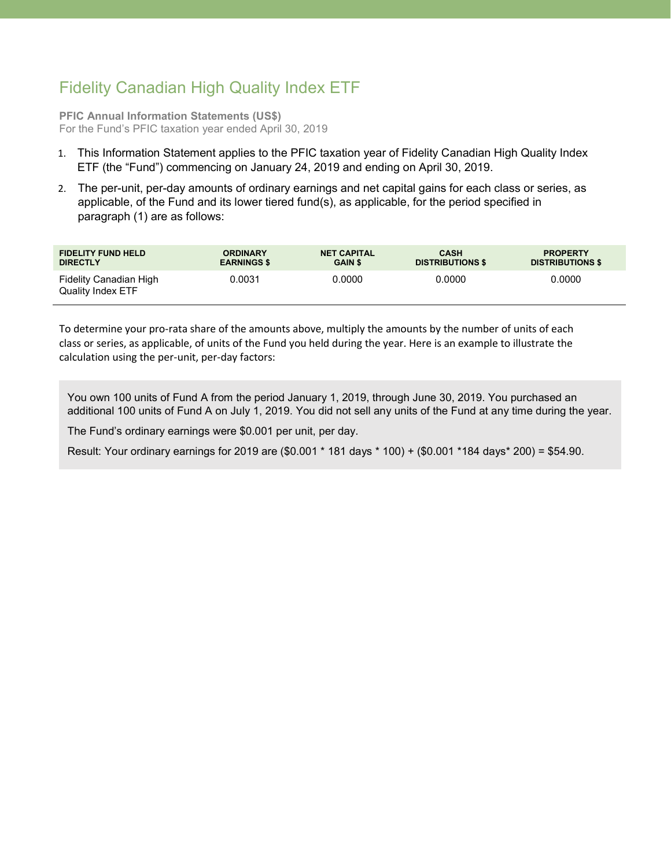## Fidelity Canadian High Quality Index ETF

**PFIC Annual Information Statements (US\$)** For the Fund's PFIC taxation year ended April 30, 2019

- 1. This Information Statement applies to the PFIC taxation year of Fidelity Canadian High Quality Index ETF (the "Fund") commencing on January 24, 2019 and ending on April 30, 2019.
- 2. The per-unit, per-day amounts of ordinary earnings and net capital gains for each class or series, as applicable, of the Fund and its lower tiered fund(s), as applicable, for the period specified in paragraph (1) are as follows:

| <b>FIDELITY FUND HELD</b>                   | <b>ORDINARY</b>    | <b>NET CAPITAL</b> | <b>CASH</b>             | <b>PROPERTY</b>         |
|---------------------------------------------|--------------------|--------------------|-------------------------|-------------------------|
| <b>DIRECTLY</b>                             | <b>EARNINGS \$</b> | <b>GAIN \$</b>     | <b>DISTRIBUTIONS \$</b> | <b>DISTRIBUTIONS \$</b> |
| Fidelity Canadian High<br>Quality Index ETF | 0.0031             | 0.0000             | 0.0000                  | 0.0000                  |

To determine your pro-rata share of the amounts above, multiply the amounts by the number of units of each class or series, as applicable, of units of the Fund you held during the year. Here is an example to illustrate the calculation using the per-unit, per-day factors:

You own 100 units of Fund A from the period January 1, 2019, through June 30, 2019. You purchased an additional 100 units of Fund A on July 1, 2019. You did not sell any units of the Fund at any time during the year.

The Fund's ordinary earnings were \$0.001 per unit, per day.

Result: Your ordinary earnings for 2019 are (\$0.001 \* 181 days \* 100) + (\$0.001 \*184 days\* 200) = \$54.90.